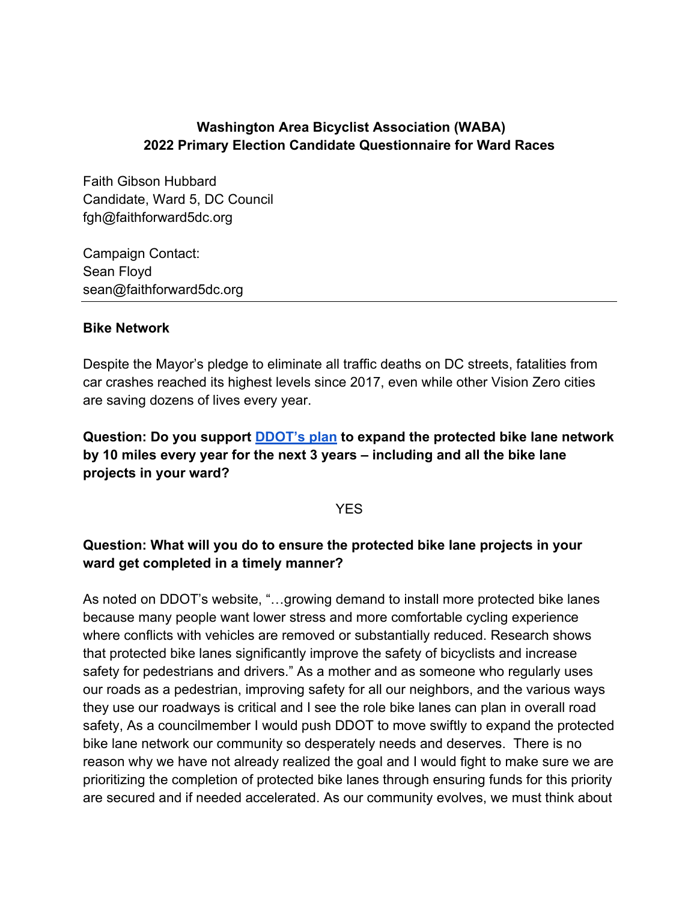## **Washington Area Bicyclist Association (WABA) 2022 Primary Election Candidate Questionnaire for Ward Races**

Faith Gibson Hubbard Candidate, Ward 5, DC Council fgh@faithforward5dc.org

Campaign Contact: Sean Floyd sean@faithforward5dc.org

### **Bike Network**

Despite the Mayor's pledge to eliminate all traffic deaths on DC streets, fatalities from car crashes reached its highest levels since 2017, even while other Vision Zero cities are saving dozens of lives every year.

**Question: Do you support DDOT's plan to expand the protected bike lane network by 10 miles every year for the next 3 years – including and all the bike lane projects in your ward?** 

### **YFS**

## **Question: What will you do to ensure the protected bike lane projects in your ward get completed in a timely manner?**

As noted on DDOT's website, "…growing demand to install more protected bike lanes because many people want lower stress and more comfortable cycling experience where conflicts with vehicles are removed or substantially reduced. Research shows that protected bike lanes significantly improve the safety of bicyclists and increase safety for pedestrians and drivers." As a mother and as someone who regularly uses our roads as a pedestrian, improving safety for all our neighbors, and the various ways they use our roadways is critical and I see the role bike lanes can plan in overall road safety, As a councilmember I would push DDOT to move swiftly to expand the protected bike lane network our community so desperately needs and deserves. There is no reason why we have not already realized the goal and I would fight to make sure we are prioritizing the completion of protected bike lanes through ensuring funds for this priority are secured and if needed accelerated. As our community evolves, we must think about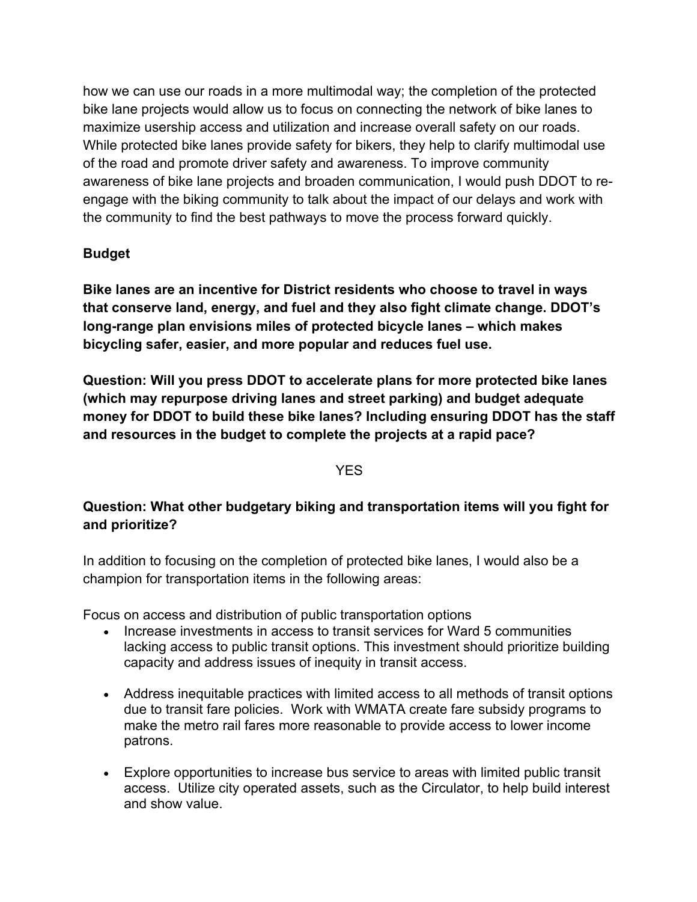how we can use our roads in a more multimodal way; the completion of the protected bike lane projects would allow us to focus on connecting the network of bike lanes to maximize usership access and utilization and increase overall safety on our roads. While protected bike lanes provide safety for bikers, they help to clarify multimodal use of the road and promote driver safety and awareness. To improve community awareness of bike lane projects and broaden communication, I would push DDOT to reengage with the biking community to talk about the impact of our delays and work with the community to find the best pathways to move the process forward quickly.

# **Budget**

**Bike lanes are an incentive for District residents who choose to travel in ways that conserve land, energy, and fuel and they also fight climate change. DDOT's long-range plan envisions miles of protected bicycle lanes – which makes bicycling safer, easier, and more popular and reduces fuel use.** 

**Question: Will you press DDOT to accelerate plans for more protected bike lanes (which may repurpose driving lanes and street parking) and budget adequate money for DDOT to build these bike lanes? Including ensuring DDOT has the staff and resources in the budget to complete the projects at a rapid pace?** 

### **YES**

# **Question: What other budgetary biking and transportation items will you fight for and prioritize?**

In addition to focusing on the completion of protected bike lanes, I would also be a champion for transportation items in the following areas:

Focus on access and distribution of public transportation options

- Increase investments in access to transit services for Ward 5 communities lacking access to public transit options. This investment should prioritize building capacity and address issues of inequity in transit access.
- Address inequitable practices with limited access to all methods of transit options due to transit fare policies. Work with WMATA create fare subsidy programs to make the metro rail fares more reasonable to provide access to lower income patrons.
- Explore opportunities to increase bus service to areas with limited public transit access. Utilize city operated assets, such as the Circulator, to help build interest and show value.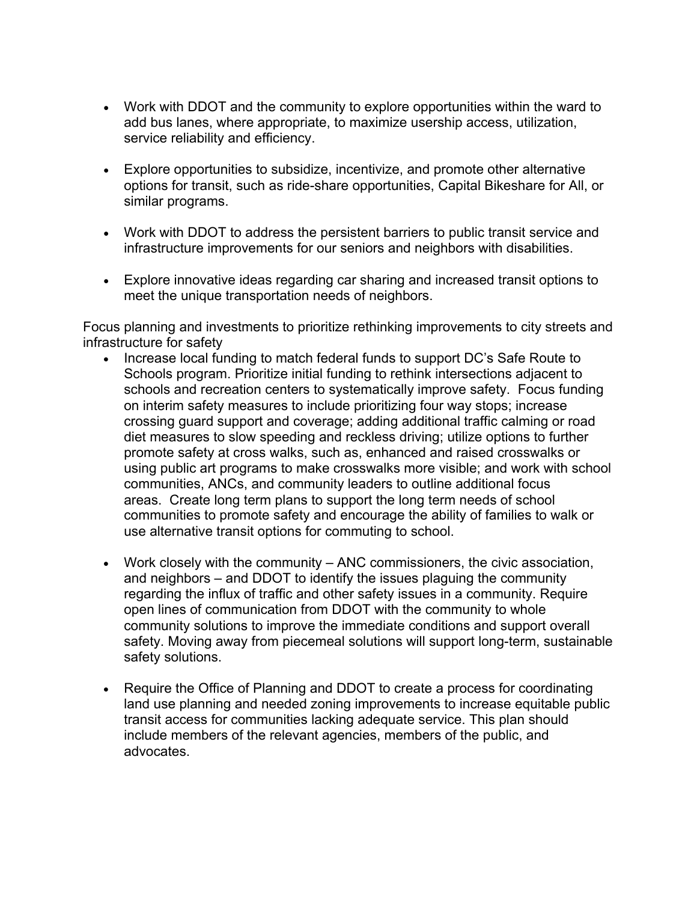- Work with DDOT and the community to explore opportunities within the ward to add bus lanes, where appropriate, to maximize usership access, utilization, service reliability and efficiency.
- Explore opportunities to subsidize, incentivize, and promote other alternative options for transit, such as ride-share opportunities, Capital Bikeshare for All, or similar programs.
- Work with DDOT to address the persistent barriers to public transit service and infrastructure improvements for our seniors and neighbors with disabilities.
- Explore innovative ideas regarding car sharing and increased transit options to meet the unique transportation needs of neighbors.

Focus planning and investments to prioritize rethinking improvements to city streets and infrastructure for safety

- Increase local funding to match federal funds to support DC's Safe Route to Schools program. Prioritize initial funding to rethink intersections adjacent to schools and recreation centers to systematically improve safety. Focus funding on interim safety measures to include prioritizing four way stops; increase crossing guard support and coverage; adding additional traffic calming or road diet measures to slow speeding and reckless driving; utilize options to further promote safety at cross walks, such as, enhanced and raised crosswalks or using public art programs to make crosswalks more visible; and work with school communities, ANCs, and community leaders to outline additional focus areas. Create long term plans to support the long term needs of school communities to promote safety and encourage the ability of families to walk or use alternative transit options for commuting to school.
- Work closely with the community ANC commissioners, the civic association, and neighbors – and DDOT to identify the issues plaguing the community regarding the influx of traffic and other safety issues in a community. Require open lines of communication from DDOT with the community to whole community solutions to improve the immediate conditions and support overall safety. Moving away from piecemeal solutions will support long-term, sustainable safety solutions.
- Require the Office of Planning and DDOT to create a process for coordinating land use planning and needed zoning improvements to increase equitable public transit access for communities lacking adequate service. This plan should include members of the relevant agencies, members of the public, and advocates.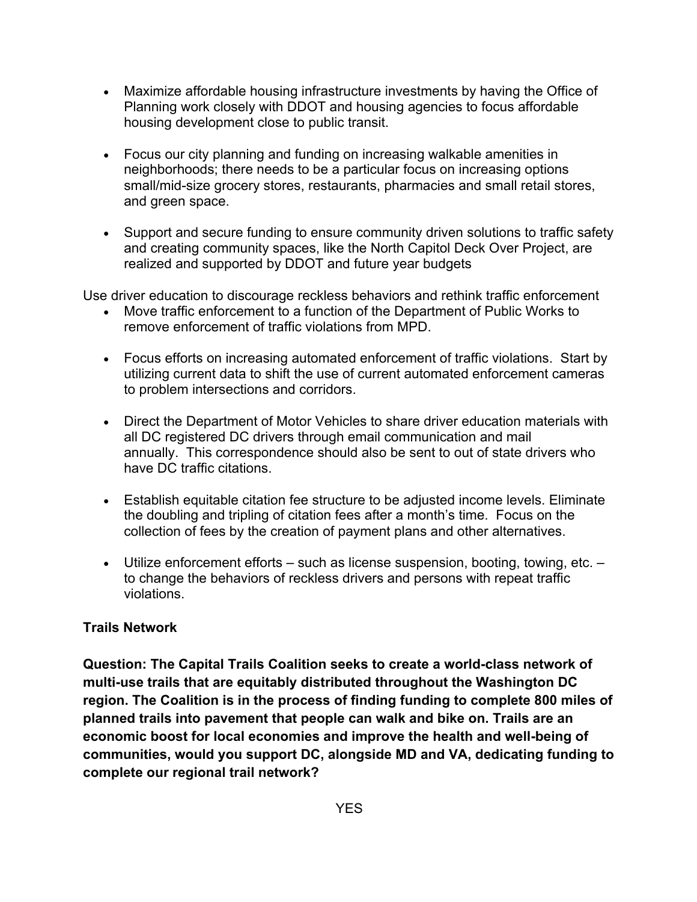- Maximize affordable housing infrastructure investments by having the Office of Planning work closely with DDOT and housing agencies to focus affordable housing development close to public transit.
- Focus our city planning and funding on increasing walkable amenities in neighborhoods; there needs to be a particular focus on increasing options small/mid-size grocery stores, restaurants, pharmacies and small retail stores, and green space.
- Support and secure funding to ensure community driven solutions to traffic safety and creating community spaces, like the North Capitol Deck Over Project, are realized and supported by DDOT and future year budgets

Use driver education to discourage reckless behaviors and rethink traffic enforcement

- Move traffic enforcement to a function of the Department of Public Works to remove enforcement of traffic violations from MPD.
- Focus efforts on increasing automated enforcement of traffic violations. Start by utilizing current data to shift the use of current automated enforcement cameras to problem intersections and corridors.
- Direct the Department of Motor Vehicles to share driver education materials with all DC registered DC drivers through email communication and mail annually. This correspondence should also be sent to out of state drivers who have DC traffic citations.
- Establish equitable citation fee structure to be adjusted income levels. Eliminate the doubling and tripling of citation fees after a month's time. Focus on the collection of fees by the creation of payment plans and other alternatives.
- Utilize enforcement efforts such as license suspension, booting, towing, etc. to change the behaviors of reckless drivers and persons with repeat traffic violations.

## **Trails Network**

**Question: The Capital Trails Coalition seeks to create a world-class network of multi-use trails that are equitably distributed throughout the Washington DC region. The Coalition is in the process of finding funding to complete 800 miles of planned trails into pavement that people can walk and bike on. Trails are an economic boost for local economies and improve the health and well-being of communities, would you support DC, alongside MD and VA, dedicating funding to complete our regional trail network?**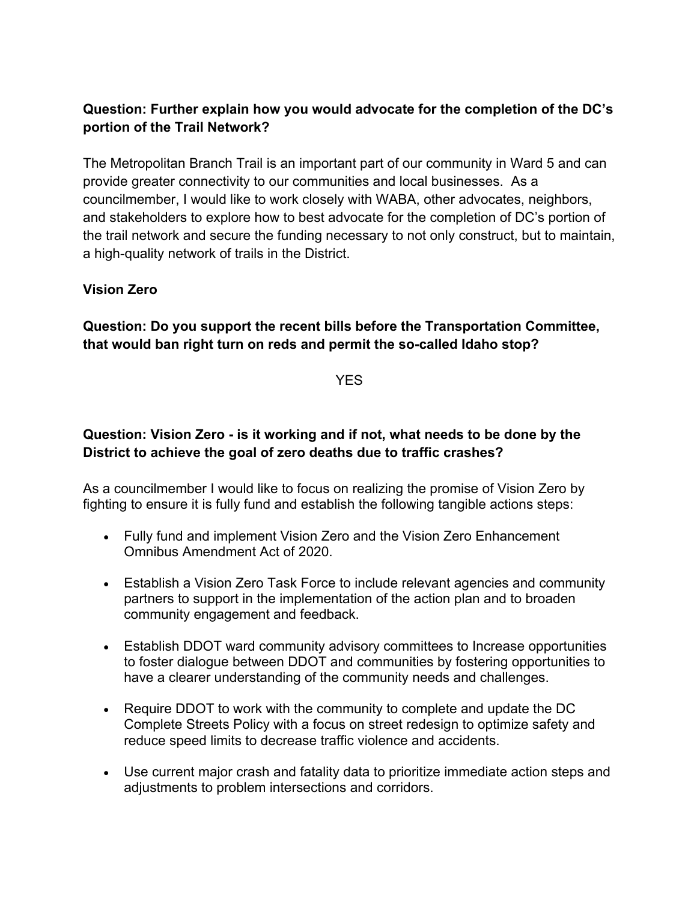# **Question: Further explain how you would advocate for the completion of the DC's portion of the Trail Network?**

The Metropolitan Branch Trail is an important part of our community in Ward 5 and can provide greater connectivity to our communities and local businesses. As a councilmember, I would like to work closely with WABA, other advocates, neighbors, and stakeholders to explore how to best advocate for the completion of DC's portion of the trail network and secure the funding necessary to not only construct, but to maintain, a high-quality network of trails in the District.

### **Vision Zero**

## **Question: Do you support the recent bills before the Transportation Committee, that would ban right turn on reds and permit the so-called Idaho stop?**

YES

## **Question: Vision Zero - is it working and if not, what needs to be done by the District to achieve the goal of zero deaths due to traffic crashes?**

As a councilmember I would like to focus on realizing the promise of Vision Zero by fighting to ensure it is fully fund and establish the following tangible actions steps:

- Fully fund and implement Vision Zero and the Vision Zero Enhancement Omnibus Amendment Act of 2020.
- Establish a Vision Zero Task Force to include relevant agencies and community partners to support in the implementation of the action plan and to broaden community engagement and feedback.
- Establish DDOT ward community advisory committees to Increase opportunities to foster dialogue between DDOT and communities by fostering opportunities to have a clearer understanding of the community needs and challenges.
- Require DDOT to work with the community to complete and update the DC Complete Streets Policy with a focus on street redesign to optimize safety and reduce speed limits to decrease traffic violence and accidents.
- Use current major crash and fatality data to prioritize immediate action steps and adjustments to problem intersections and corridors.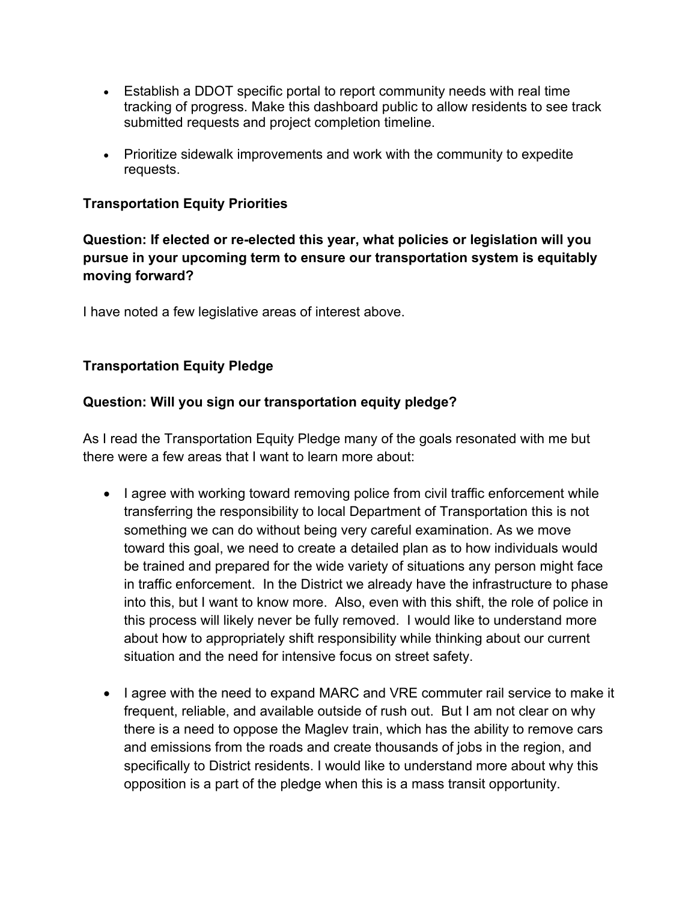- Establish a DDOT specific portal to report community needs with real time tracking of progress. Make this dashboard public to allow residents to see track submitted requests and project completion timeline.
- Prioritize sidewalk improvements and work with the community to expedite requests.

## **Transportation Equity Priorities**

**Question: If elected or re-elected this year, what policies or legislation will you pursue in your upcoming term to ensure our transportation system is equitably moving forward?** 

I have noted a few legislative areas of interest above.

## **Transportation Equity Pledge**

### **Question: Will you sign our transportation equity pledge?**

As I read the Transportation Equity Pledge many of the goals resonated with me but there were a few areas that I want to learn more about:

- I agree with working toward removing police from civil traffic enforcement while transferring the responsibility to local Department of Transportation this is not something we can do without being very careful examination. As we move toward this goal, we need to create a detailed plan as to how individuals would be trained and prepared for the wide variety of situations any person might face in traffic enforcement. In the District we already have the infrastructure to phase into this, but I want to know more. Also, even with this shift, the role of police in this process will likely never be fully removed. I would like to understand more about how to appropriately shift responsibility while thinking about our current situation and the need for intensive focus on street safety.
- I agree with the need to expand MARC and VRE commuter rail service to make it frequent, reliable, and available outside of rush out. But I am not clear on why there is a need to oppose the Maglev train, which has the ability to remove cars and emissions from the roads and create thousands of jobs in the region, and specifically to District residents. I would like to understand more about why this opposition is a part of the pledge when this is a mass transit opportunity.